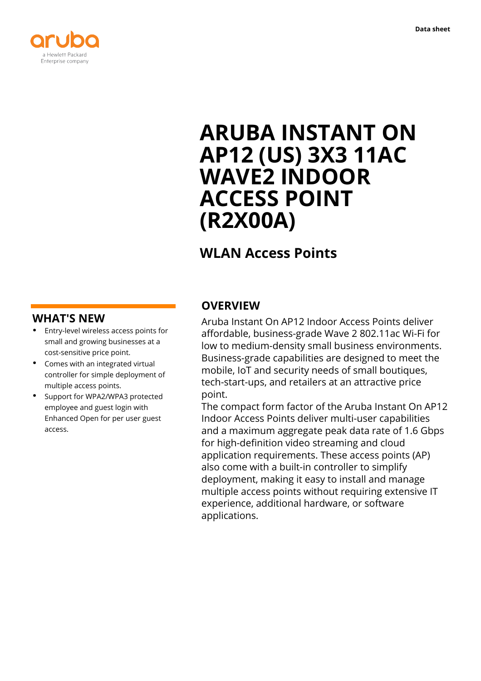

# **ARUBA INSTANT ON AP12 (US) 3X3 11AC WAVE2 INDOOR ACCESS POINT (R2X00A)**

## **WLAN Access Points**

### **WHAT'S NEW**

- **·** Entry-level wireless access points for small and growing businesses at a cost-sensitive price point.
- **·** Comes with an integrated virtual controller for simple deployment of multiple access points.
- **·** Support for WPA2/WPA3 protected employee and guest login with Enhanced Open for per user guest access.

### **OVERVIEW**

Aruba Instant On AP12 Indoor Access Points deliver affordable, business-grade Wave 2 802.11ac Wi-Fi for low to medium-density small business environments. Business-grade capabilities are designed to meet the mobile, IoT and security needs of small boutiques, tech-start-ups, and retailers at an attractive price point.

The compact form factor of the Aruba Instant On AP12 Indoor Access Points deliver multi-user capabilities and a maximum aggregate peak data rate of 1.6 Gbps for high-definition video streaming and cloud application requirements. These access points (AP) also come with a built-in controller to simplify deployment, making it easy to install and manage multiple access points without requiring extensive IT experience, additional hardware, or software applications.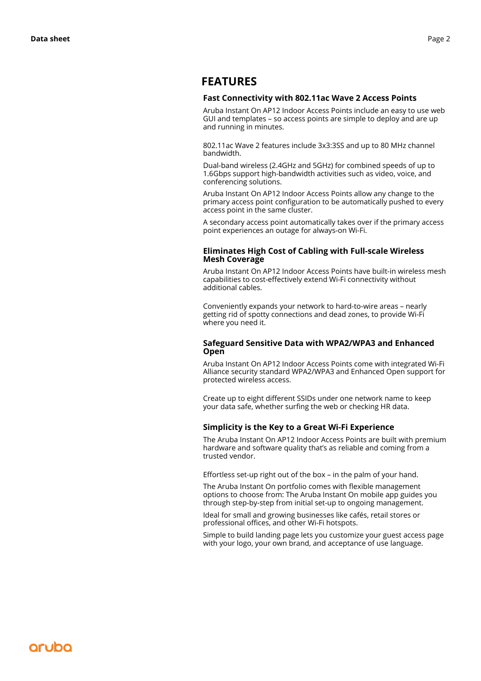### **FEATURES**

#### **Fast Connectivity with 802.11ac Wave 2 Access Points**

Aruba Instant On AP12 Indoor Access Points include an easy to use web GUI and templates – so access points are simple to deploy and are up and running in minutes.

802.11ac Wave 2 features include 3x3:3SS and up to 80 MHz channel bandwidth.

Dual-band wireless (2.4GHz and 5GHz) for combined speeds of up to 1.6Gbps support high-bandwidth activities such as video, voice, and conferencing solutions.

Aruba Instant On AP12 Indoor Access Points allow any change to the primary access point configuration to be automatically pushed to every access point in the same cluster.

A secondary access point automatically takes over if the primary access point experiences an outage for always-on Wi-Fi.

#### **Eliminates High Cost of Cabling with Full-scale Wireless Mesh Coverage**

Aruba Instant On AP12 Indoor Access Points have built-in wireless mesh capabilities to cost-effectively extend Wi-Fi connectivity without additional cables.

Conveniently expands your network to hard-to-wire areas – nearly getting rid of spotty connections and dead zones, to provide Wi-Fi where you need it.

#### **Safeguard Sensitive Data with WPA2/WPA3 and Enhanced Open**

Aruba Instant On AP12 Indoor Access Points come with integrated Wi-Fi Alliance security standard WPA2/WPA3 and Enhanced Open support for protected wireless access.

Create up to eight different SSIDs under one network name to keep your data safe, whether surfing the web or checking HR data.

#### **Simplicity is the Key to a Great Wi-Fi Experience**

The Aruba Instant On AP12 Indoor Access Points are built with premium hardware and software quality that's as reliable and coming from a trusted vendor.

Effortless set-up right out of the box – in the palm of your hand.

The Aruba Instant On portfolio comes with flexible management options to choose from: The Aruba Instant On mobile app guides you through step-by-step from initial set-up to ongoing management.

Ideal for small and growing businesses like cafés, retail stores or professional offices, and other Wi-Fi hotspots.

Simple to build landing page lets you customize your guest access page with your logo, your own brand, and acceptance of use language.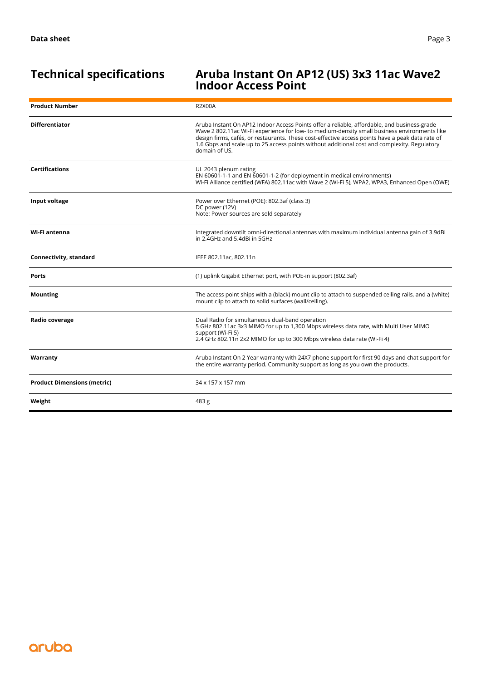### **Technical specifications Aruba Instant On AP12 (US) 3x3 11ac Wave2 Indoor Access Point**

| <b>Product Number</b>              | <b>R2X00A</b>                                                                                                                                                                                                                                                                                                                                                                                                    |
|------------------------------------|------------------------------------------------------------------------------------------------------------------------------------------------------------------------------------------------------------------------------------------------------------------------------------------------------------------------------------------------------------------------------------------------------------------|
| <b>Differentiator</b>              | Aruba Instant On AP12 Indoor Access Points offer a reliable, affordable, and business-grade<br>Wave 2 802.11ac Wi-Fi experience for low- to medium-density small business environments like<br>design firms, cafés, or restaurants. These cost-effective access points have a peak data rate of<br>1.6 Gbps and scale up to 25 access points without additional cost and complexity. Regulatory<br>domain of US. |
| <b>Certifications</b>              | UL 2043 plenum rating<br>EN 60601-1-1 and EN 60601-1-2 (for deployment in medical environments)<br>Wi-Fi Alliance certified (WFA) 802.11ac with Wave 2 (Wi-Fi 5), WPA2, WPA3, Enhanced Open (OWE)                                                                                                                                                                                                                |
| Input voltage                      | Power over Ethernet (POE): 802.3af (class 3)<br>DC power (12V)<br>Note: Power sources are sold separately                                                                                                                                                                                                                                                                                                        |
| Wi-Fi antenna                      | Integrated downtilt omni-directional antennas with maximum individual antenna gain of 3.9dBi<br>in 2.4GHz and 5.4dBi in 5GHz                                                                                                                                                                                                                                                                                     |
| Connectivity, standard             | IEEE 802.11ac, 802.11n                                                                                                                                                                                                                                                                                                                                                                                           |
| Ports                              | (1) uplink Gigabit Ethernet port, with POE-in support (802.3af)                                                                                                                                                                                                                                                                                                                                                  |
| <b>Mounting</b>                    | The access point ships with a (black) mount clip to attach to suspended ceiling rails, and a (white)<br>mount clip to attach to solid surfaces (wall/ceiling).                                                                                                                                                                                                                                                   |
| Radio coverage                     | Dual Radio for simultaneous dual-band operation<br>5 GHz 802.11ac 3x3 MIMO for up to 1,300 Mbps wireless data rate, with Multi User MIMO<br>support (Wi-Fi 5)<br>2.4 GHz 802.11n 2x2 MIMO for up to 300 Mbps wireless data rate (Wi-Fi 4)                                                                                                                                                                        |
| Warranty                           | Aruba Instant On 2 Year warranty with 24X7 phone support for first 90 days and chat support for<br>the entire warranty period. Community support as long as you own the products.                                                                                                                                                                                                                                |
| <b>Product Dimensions (metric)</b> | 34 x 157 x 157 mm                                                                                                                                                                                                                                                                                                                                                                                                |
| Weight                             | 483 g                                                                                                                                                                                                                                                                                                                                                                                                            |